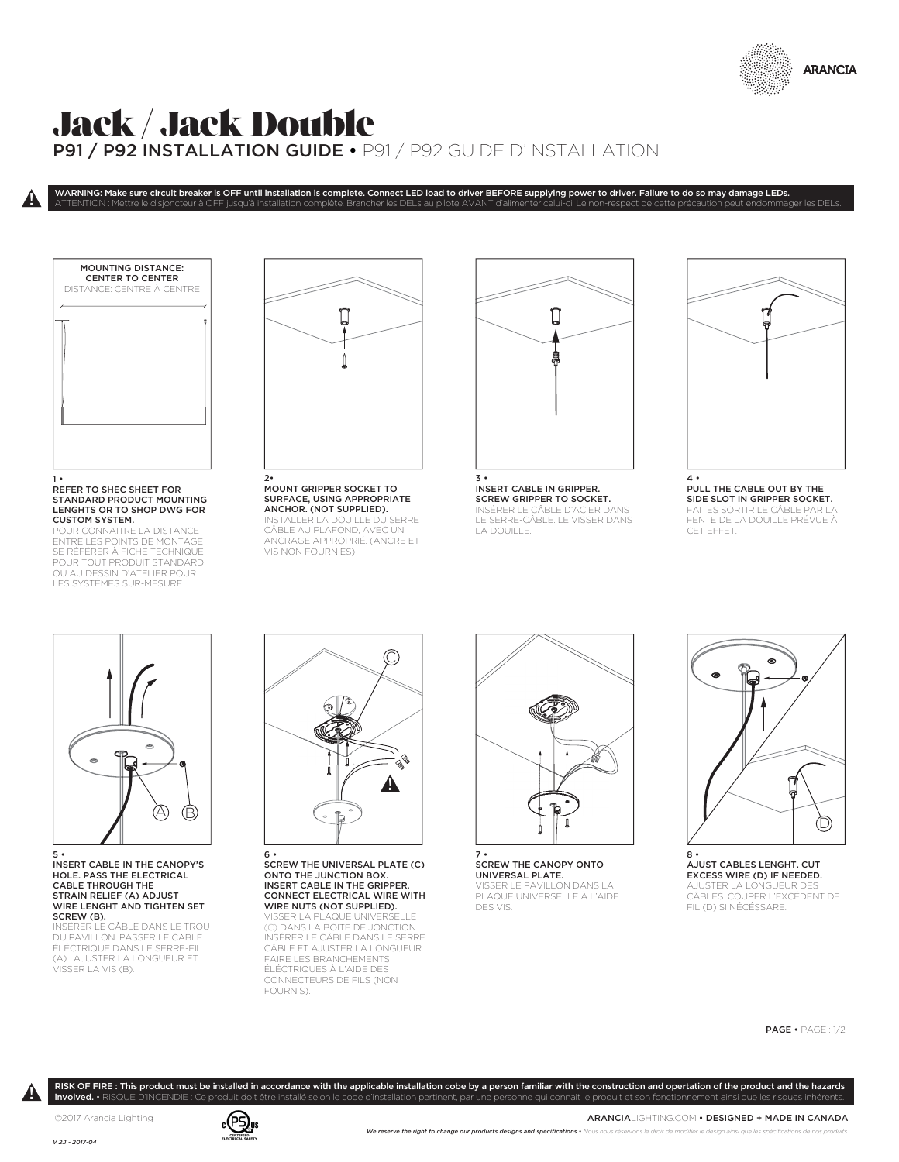

## Jack / Jack Double P91 / P92 INSTALLATION GUIDE • P91 / P92 GUIDE D'INSTALLATION

WARNING: Make sure circuit breaker is OFF until installation is complete. Connect LED load to driver BEFORE supplying power to driver. Failure to do so may damage LEDs. ATTENTION : Mettre le disjoncteur à OFF jusqu'à installation complète. Brancher les DELs au pilote AVANT d'alimenter celui-ci. Le non-respect de cette précaution peut endommager les DELs.

MOUNTING DISTANCE: CENTER TO CENTER DISTANCE: CENTRE À CENTRE

 $\pmb{\mathsf{a}}$ 

## 1 • REFER TO SHEC SHEET FOR STANDARD PRODUCT MOUNTING LENGHTS OR TO SHOP DWG FOR CUSTOM SYSTEM.

JR CONNAITRE LA DISTANCE ENTRE LES POINTS DE MONTAGE SE RÉFÉRER À FICHE TECHNIQUE POUR TOUT PRODUIT STANDARD, OU AU DESSIN D'ATELIER POUR LES SYSTÈMES SUR-MESURE.



MOUNT GRIPPER SOCKET TO SURFACE, USING APPROPRIATE ANCHOR. (NOT SUPPLIED). STALLER LA DOUILLE DU SERRE CÂBLE AU PLAFOND, AVEC UN ANCRAGE APPROPRIÉ. (ANCRE ET VIS NON FOURNIES)



INSERT CABLE IN GRIPPER. SCREW GRIPPER TO SOCKET. INSÉRER LE CÂBLE D'ACIER DANS LE SERRE-CÂBLE. LE VISSER DANS LA DOUILLE.



PULL THE CABLE OUT BY THE SIDE SLOT IN GRIPPER SOCKET. FAITES SORTIR LE CÂBLE PAR FENTE DE LA DOUILLE PRÉVUE À CET EFFET.



INSERT CABLE IN THE CANOPY'S HOLE. PASS THE ELECTRICAL CABLE THROUGH THE STRAIN RELIEF (A) ADJUST WIRE LENGHT AND TIGHTEN SET SCREW (B). INSÉRER LE CÂBLE DANS LE TROU

DU PAVILLON. PASSER LE CABLE ÉLÉCTRIQUE DANS LE SERRE-FIL (A). AJUSTER LA LONGUEUR ET VISSER LA VIS (B).



6 • SCREW THE UNIVERSAL PLATE (C) ONTO THE JUNCTION BOX. INSERT CABLE IN THE GRIPPER. CONNECT ELECTRICAL WIRE WITH WIRE NUTS (NOT SUPPLIED).

VISSER LA PLAQUE UNIVERSELLE (C) DANS LA BOITE DE JONCTION. INSÉRER LE CÂBLE DANS LE SERRE CÂBLE ET AJUSTER LA LONGUEUR. FAIRE LES BRANCHEMENTS ÉLÉCTRIQUES À L'AIDE DES CONNECTEURS DE FILS (NON FOURNIS).

RISK OF FIRE : This product must be installed in accordance with the applicable installation cobe by a person familiar with the construction and opertation of the product and the hazards



7 • SCREW THE CANOPY ONTO UNIVERSAL PLATE. VISSER LE PAVILLON DANS LA PLAQUE UNIVERSELLE À L'AIDE DES VIS.



AJUST CABLES LENGHT. CUT EXCESS WIRE (D) IF NEEDED. AJUSTER LA LONGUEUR DES CÂBLES. COUPER L'EXCÉDENT DE FIL (D) SI NÉCÉSSARE.

PAGE • PAGE : 1/2

involved. • RISQUE D'INCENDIE : Ce produit doit être installé selon le code d'installation pertinent, par une personne qui connait le produit et son fonctionnement ainsi que les risques inhéren

 $\boldsymbol{\theta}$ 

©2017 Arancia Lighting

*V 2.1 - 2017-04*



ARANCIALIGHTING.COM • DESIGNED + MADE IN CANADA We reserve the right to change our products designs and specifications • Nous nous réservons le droit de modi